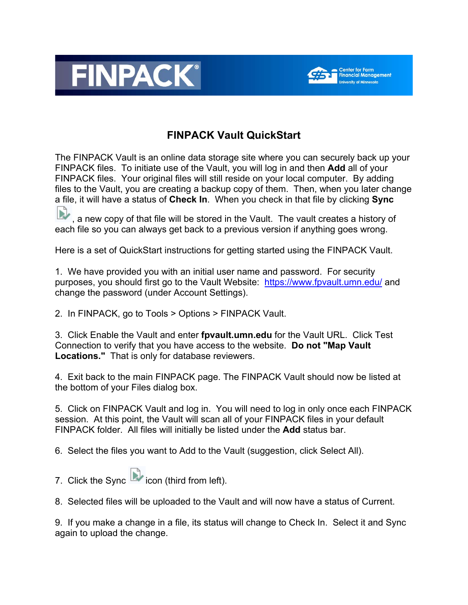



## **FINPACK Vault QuickStart**

The FINPACK Vault is an online data storage site where you can securely back up your FINPACK files. To initiate use of the Vault, you will log in and then **Add** all of your FINPACK files. Your original files will still reside on your local computer. By adding files to the Vault, you are creating a backup copy of them. Then, when you later change a file, it will have a status of **Check In**. When you check in that file by clicking **Sync** 

, a new copy of that file will be stored in the Vault. The vault creates a history of each file so you can always get back to a previous version if anything goes wrong.

Here is a set of QuickStart instructions for getting started using the FINPACK Vault.

1. We have provided you with an initial user name and password. For security purposes, you should first go to the Vault Website: <https://www.fpvault.umn.edu/> and change the password (under Account Settings).

2. In FINPACK, go to Tools > Options > FINPACK Vault.

3. Click Enable the Vault and enter **fpvault.umn.edu** for the Vault URL. Click Test Connection to verify that you have access to the website. **Do not "Map Vault Locations."** That is only for database reviewers.

4. Exit back to the main FINPACK page. The FINPACK Vault should now be listed at the bottom of your Files dialog box.

5. Click on FINPACK Vault and log in. You will need to log in only once each FINPACK session. At this point, the Vault will scan all of your FINPACK files in your default FINPACK folder. All files will initially be listed under the **Add** status bar.

6. Select the files you want to Add to the Vault (suggestion, click Select All).

7. Click the Sync **in the con** (third from left).

8. Selected files will be uploaded to the Vault and will now have a status of Current.

9. If you make a change in a file, its status will change to Check In. Select it and Sync again to upload the change.